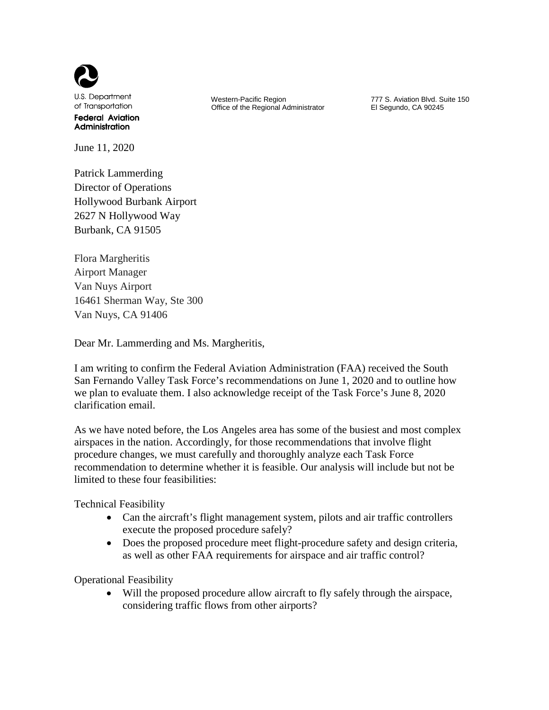

June 11, 2020

Patrick Lammerding Director of Operations Hollywood Burbank Airport 2627 N Hollywood Way Burbank, CA 91505

Flora Margheritis Airport Manager Van Nuys Airport 16461 Sherman Way, Ste 300 Van Nuys, CA 91406

Dear Mr. Lammerding and Ms. Margheritis,

I am writing to confirm the Federal Aviation Administration (FAA) received the South San Fernando Valley Task Force's recommendations on June 1, 2020 and to outline how we plan to evaluate them. I also acknowledge receipt of the Task Force's June 8, 2020 clarification email.

As we have noted before, the Los Angeles area has some of the busiest and most complex airspaces in the nation. Accordingly, for those recommendations that involve flight procedure changes, we must carefully and thoroughly analyze each Task Force recommendation to determine whether it is feasible. Our analysis will include but not be limited to these four feasibilities:

Technical Feasibility

- Can the aircraft's flight management system, pilots and air traffic controllers execute the proposed procedure safely?
- Does the proposed procedure meet flight-procedure safety and design criteria, as well as other FAA requirements for airspace and air traffic control?

Operational Feasibility

Will the proposed procedure allow aircraft to fly safely through the airspace, considering traffic flows from other airports?

 Western-Pacific Region Office of the Regional Administrator 777 S. Aviation Blvd. Suite 150 El Segundo, CA 90245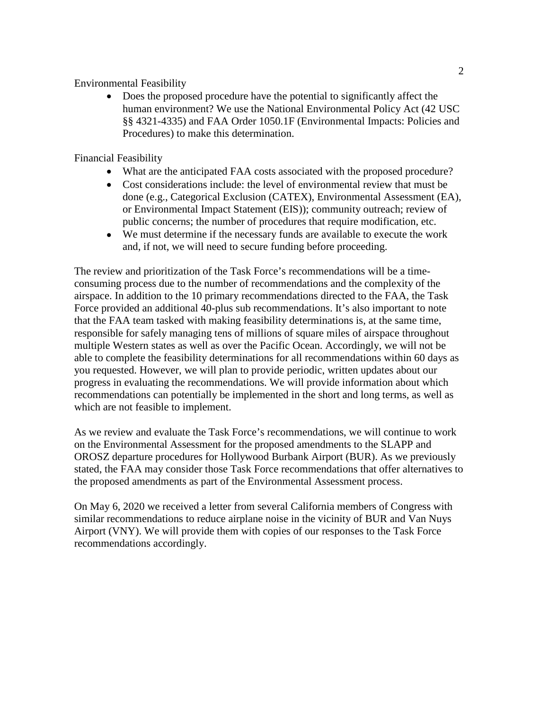## Environmental Feasibility

• Does the proposed procedure have the potential to significantly affect the human environment? We use the National Environmental Policy Act (42 USC §§ 4321-4335) and FAA Order 1050.1F (Environmental Impacts: Policies and Procedures) to make this determination.

## Financial Feasibility

- What are the anticipated FAA costs associated with the proposed procedure?
- Cost considerations include: the level of environmental review that must be done (e.g., Categorical Exclusion (CATEX), Environmental Assessment (EA), or Environmental Impact Statement (EIS)); community outreach; review of public concerns; the number of procedures that require modification, etc.
- We must determine if the necessary funds are available to execute the work and, if not, we will need to secure funding before proceeding.

The review and prioritization of the Task Force's recommendations will be a timeconsuming process due to the number of recommendations and the complexity of the airspace. In addition to the 10 primary recommendations directed to the FAA, the Task Force provided an additional 40-plus sub recommendations. It's also important to note that the FAA team tasked with making feasibility determinations is, at the same time, responsible for safely managing tens of millions of square miles of airspace throughout multiple Western states as well as over the Pacific Ocean. Accordingly, we will not be able to complete the feasibility determinations for all recommendations within 60 days as you requested. However, we will plan to provide periodic, written updates about our progress in evaluating the recommendations. We will provide information about which recommendations can potentially be implemented in the short and long terms, as well as which are not feasible to implement.

As we review and evaluate the Task Force's recommendations, we will continue to work on the Environmental Assessment for the proposed amendments to the SLAPP and OROSZ departure procedures for Hollywood Burbank Airport (BUR). As we previously stated, the FAA may consider those Task Force recommendations that offer alternatives to the proposed amendments as part of the Environmental Assessment process.

On May 6, 2020 we received a letter from several California members of Congress with similar recommendations to reduce airplane noise in the vicinity of BUR and Van Nuys Airport (VNY). We will provide them with copies of our responses to the Task Force recommendations accordingly.